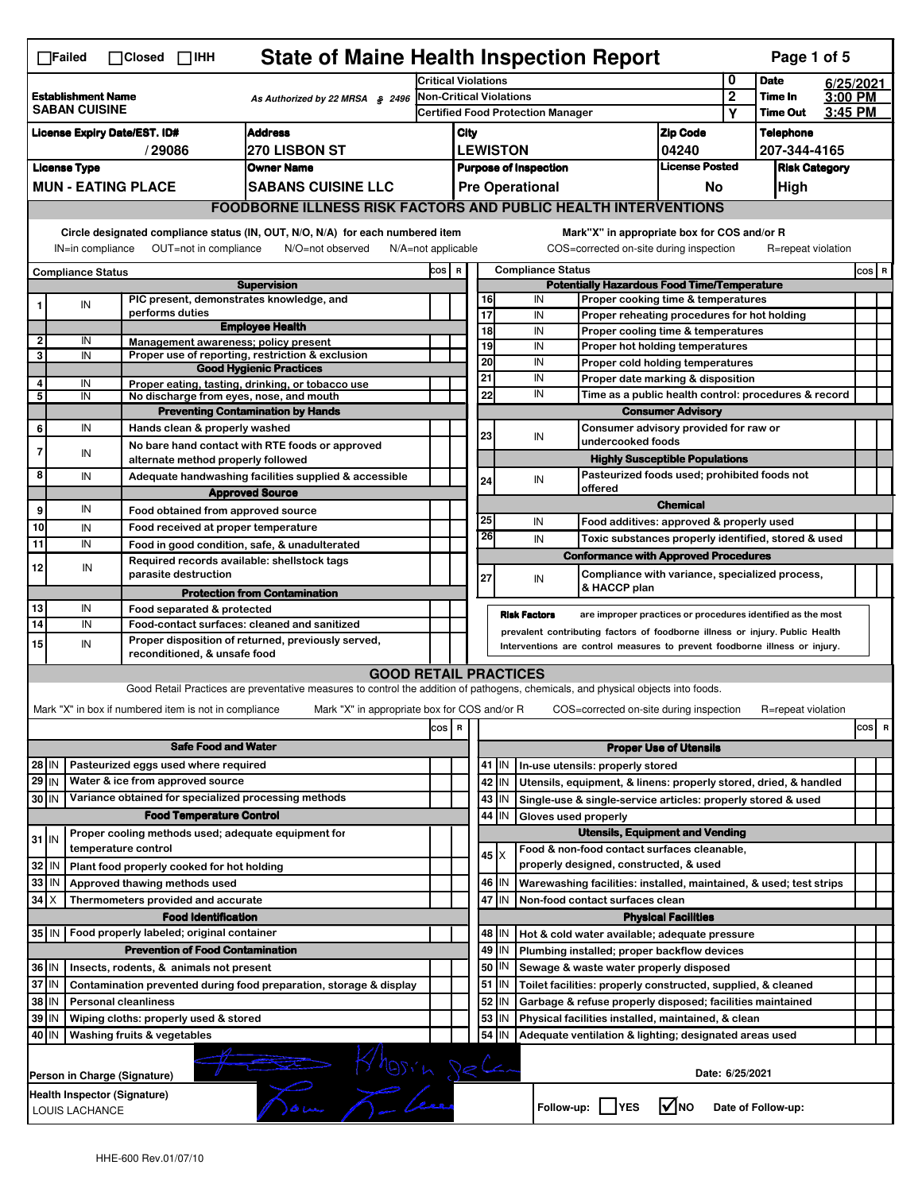|                                                                                                                                                                                                                                                                                                                                                                | <b>State of Maine Health Inspection Report</b><br>Page 1 of 5<br>$\Box$ Failed<br>$\Box$ Closed<br>$\Box$ IHH       |                                                                                                                                                                                                                                                                  |                                 |                                                                            |                                                                                                                                   |                                                       |  |          |                     |                                                                   |                                                                                                                 |                                       |  |                    |  |          |
|----------------------------------------------------------------------------------------------------------------------------------------------------------------------------------------------------------------------------------------------------------------------------------------------------------------------------------------------------------------|---------------------------------------------------------------------------------------------------------------------|------------------------------------------------------------------------------------------------------------------------------------------------------------------------------------------------------------------------------------------------------------------|---------------------------------|----------------------------------------------------------------------------|-----------------------------------------------------------------------------------------------------------------------------------|-------------------------------------------------------|--|----------|---------------------|-------------------------------------------------------------------|-----------------------------------------------------------------------------------------------------------------|---------------------------------------|--|--------------------|--|----------|
|                                                                                                                                                                                                                                                                                                                                                                |                                                                                                                     |                                                                                                                                                                                                                                                                  |                                 |                                                                            | Critical Violations                                                                                                               |                                                       |  |          | 0                   | <b>Date</b>                                                       |                                                                                                                 | 6/25/2021                             |  |                    |  |          |
| <b>Establishment Name</b><br><b>SABAN CUISINE</b>                                                                                                                                                                                                                                                                                                              |                                                                                                                     |                                                                                                                                                                                                                                                                  | As Authorized by 22 MRSA § 2496 | <b>Non-Critical Violations</b><br><b>Certified Food Protection Manager</b> |                                                                                                                                   |                                                       |  |          |                     | $\overline{2}$<br>Υ                                               | Time In<br><b>Time Out</b>                                                                                      | 3:00 PM<br>3:45 PM                    |  |                    |  |          |
|                                                                                                                                                                                                                                                                                                                                                                | <b>Address</b><br><b>License Expiry Date/EST. ID#</b>                                                               |                                                                                                                                                                                                                                                                  |                                 |                                                                            |                                                                                                                                   |                                                       |  |          |                     |                                                                   |                                                                                                                 |                                       |  | <b>Telephone</b>   |  |          |
| <b>270 LISBON ST</b><br>/29086                                                                                                                                                                                                                                                                                                                                 |                                                                                                                     |                                                                                                                                                                                                                                                                  |                                 |                                                                            |                                                                                                                                   | <b>Zip Code</b><br>City<br><b>LEWISTON</b>            |  |          |                     | 04240                                                             |                                                                                                                 | 207-344-4165                          |  |                    |  |          |
| <b>License Type</b><br><b>Owner Name</b>                                                                                                                                                                                                                                                                                                                       |                                                                                                                     |                                                                                                                                                                                                                                                                  |                                 |                                                                            |                                                                                                                                   | <b>License Posted</b><br><b>Purpose of Inspection</b> |  |          |                     |                                                                   | <b>Risk Category</b>                                                                                            |                                       |  |                    |  |          |
|                                                                                                                                                                                                                                                                                                                                                                | <b>MUN - EATING PLACE</b>                                                                                           |                                                                                                                                                                                                                                                                  |                                 |                                                                            | <b>SABANS CUISINE LLC</b>                                                                                                         |                                                       |  |          |                     | <b>Pre Operational</b>                                            |                                                                                                                 | No                                    |  | High               |  |          |
|                                                                                                                                                                                                                                                                                                                                                                |                                                                                                                     |                                                                                                                                                                                                                                                                  |                                 |                                                                            |                                                                                                                                   |                                                       |  |          |                     |                                                                   |                                                                                                                 |                                       |  |                    |  |          |
| <b>FOODBORNE ILLNESS RISK FACTORS AND PUBLIC HEALTH INTERVENTIONS</b><br>Circle designated compliance status (IN, OUT, N/O, N/A) for each numbered item<br>Mark"X" in appropriate box for COS and/or R<br>IN=in compliance<br>OUT=not in compliance<br>N/O=not observed<br>N/A=not applicable<br>COS=corrected on-site during inspection<br>R=repeat violation |                                                                                                                     |                                                                                                                                                                                                                                                                  |                                 |                                                                            |                                                                                                                                   |                                                       |  |          |                     |                                                                   |                                                                                                                 |                                       |  |                    |  |          |
|                                                                                                                                                                                                                                                                                                                                                                | <b>Compliance Status</b>                                                                                            |                                                                                                                                                                                                                                                                  |                                 |                                                                            |                                                                                                                                   | COS R                                                 |  |          |                     | <b>Compliance Status</b>                                          |                                                                                                                 |                                       |  |                    |  | COS R    |
|                                                                                                                                                                                                                                                                                                                                                                |                                                                                                                     |                                                                                                                                                                                                                                                                  |                                 |                                                                            | <b>Supervision</b><br>PIC present, demonstrates knowledge, and                                                                    |                                                       |  |          |                     | IN                                                                | <b>Potentially Hazardous Food Time/Temperature</b>                                                              |                                       |  |                    |  |          |
| 1                                                                                                                                                                                                                                                                                                                                                              | IN                                                                                                                  |                                                                                                                                                                                                                                                                  | performs duties                 |                                                                            |                                                                                                                                   |                                                       |  |          | 16<br>17            | IN                                                                | Proper cooking time & temperatures<br>Proper reheating procedures for hot holding                               |                                       |  |                    |  |          |
|                                                                                                                                                                                                                                                                                                                                                                |                                                                                                                     |                                                                                                                                                                                                                                                                  |                                 |                                                                            | <b>Employee Health</b>                                                                                                            |                                                       |  |          | 18                  | IN                                                                | Proper cooling time & temperatures                                                                              |                                       |  |                    |  |          |
| $\overline{\mathbf{2}}$<br>3                                                                                                                                                                                                                                                                                                                                   | IN<br>IN                                                                                                            |                                                                                                                                                                                                                                                                  |                                 |                                                                            | Management awareness; policy present<br>Proper use of reporting, restriction & exclusion                                          |                                                       |  |          | 19                  | IN<br>Proper hot holding temperatures                             |                                                                                                                 |                                       |  |                    |  |          |
|                                                                                                                                                                                                                                                                                                                                                                |                                                                                                                     |                                                                                                                                                                                                                                                                  |                                 |                                                                            | <b>Good Hygienic Practices</b>                                                                                                    |                                                       |  |          | 20                  | IN                                                                | Proper cold holding temperatures                                                                                |                                       |  |                    |  |          |
| 4                                                                                                                                                                                                                                                                                                                                                              | IN                                                                                                                  |                                                                                                                                                                                                                                                                  |                                 |                                                                            | Proper eating, tasting, drinking, or tobacco use                                                                                  |                                                       |  |          | 21                  | IN                                                                | Proper date marking & disposition                                                                               |                                       |  |                    |  |          |
| 5                                                                                                                                                                                                                                                                                                                                                              | IN                                                                                                                  |                                                                                                                                                                                                                                                                  |                                 |                                                                            | No discharge from eyes, nose, and mouth<br><b>Preventing Contamination by Hands</b>                                               |                                                       |  |          | 22                  | IN<br>Time as a public health control: procedures & record        |                                                                                                                 |                                       |  |                    |  |          |
| 6                                                                                                                                                                                                                                                                                                                                                              | IN                                                                                                                  |                                                                                                                                                                                                                                                                  |                                 | Hands clean & properly washed                                              |                                                                                                                                   |                                                       |  |          |                     | <b>Consumer Advisory</b><br>Consumer advisory provided for raw or |                                                                                                                 |                                       |  |                    |  |          |
|                                                                                                                                                                                                                                                                                                                                                                |                                                                                                                     |                                                                                                                                                                                                                                                                  |                                 |                                                                            | No bare hand contact with RTE foods or approved                                                                                   |                                                       |  |          | 23                  | IN                                                                | undercooked foods                                                                                               |                                       |  |                    |  |          |
| 7                                                                                                                                                                                                                                                                                                                                                              | IN                                                                                                                  |                                                                                                                                                                                                                                                                  |                                 |                                                                            | alternate method properly followed                                                                                                |                                                       |  |          |                     |                                                                   |                                                                                                                 | <b>Highly Susceptible Populations</b> |  |                    |  |          |
| 8                                                                                                                                                                                                                                                                                                                                                              | IN                                                                                                                  |                                                                                                                                                                                                                                                                  |                                 |                                                                            | Adequate handwashing facilities supplied & accessible                                                                             |                                                       |  |          | 24                  | IN                                                                | Pasteurized foods used; prohibited foods not                                                                    |                                       |  |                    |  |          |
|                                                                                                                                                                                                                                                                                                                                                                |                                                                                                                     |                                                                                                                                                                                                                                                                  |                                 |                                                                            | <b>Approved Source</b>                                                                                                            |                                                       |  |          |                     |                                                                   | offered                                                                                                         | <b>Chemical</b>                       |  |                    |  |          |
| 9                                                                                                                                                                                                                                                                                                                                                              | IN                                                                                                                  |                                                                                                                                                                                                                                                                  |                                 |                                                                            | Food obtained from approved source                                                                                                |                                                       |  |          | 25                  | IN                                                                | Food additives: approved & properly used                                                                        |                                       |  |                    |  |          |
| 10                                                                                                                                                                                                                                                                                                                                                             | IN                                                                                                                  |                                                                                                                                                                                                                                                                  |                                 |                                                                            | Food received at proper temperature                                                                                               |                                                       |  |          | 26                  | IN                                                                | Toxic substances properly identified, stored & used                                                             |                                       |  |                    |  |          |
| 11                                                                                                                                                                                                                                                                                                                                                             | IN                                                                                                                  |                                                                                                                                                                                                                                                                  |                                 |                                                                            | Food in good condition, safe, & unadulterated<br>Required records available: shellstock tags                                      |                                                       |  |          |                     |                                                                   | <b>Conformance with Approved Procedures</b>                                                                     |                                       |  |                    |  |          |
| 12                                                                                                                                                                                                                                                                                                                                                             | IN                                                                                                                  |                                                                                                                                                                                                                                                                  |                                 | parasite destruction                                                       |                                                                                                                                   |                                                       |  |          | 27                  | IN                                                                | Compliance with variance, specialized process,                                                                  |                                       |  |                    |  |          |
|                                                                                                                                                                                                                                                                                                                                                                |                                                                                                                     |                                                                                                                                                                                                                                                                  |                                 |                                                                            | <b>Protection from Contamination</b>                                                                                              |                                                       |  |          |                     |                                                                   | & HACCP plan                                                                                                    |                                       |  |                    |  |          |
| 13<br>14                                                                                                                                                                                                                                                                                                                                                       | IN<br>IN                                                                                                            |                                                                                                                                                                                                                                                                  |                                 | Food separated & protected                                                 |                                                                                                                                   |                                                       |  |          |                     | <b>Risk Factors</b>                                               | are improper practices or procedures identified as the most                                                     |                                       |  |                    |  |          |
| 15                                                                                                                                                                                                                                                                                                                                                             | IN                                                                                                                  | Food-contact surfaces: cleaned and sanitized<br>prevalent contributing factors of foodborne illness or injury. Public Health<br>Proper disposition of returned, previously served,<br>Interventions are control measures to prevent foodborne illness or injury. |                                 |                                                                            |                                                                                                                                   |                                                       |  |          |                     |                                                                   |                                                                                                                 |                                       |  |                    |  |          |
|                                                                                                                                                                                                                                                                                                                                                                |                                                                                                                     |                                                                                                                                                                                                                                                                  |                                 | reconditioned, & unsafe food                                               |                                                                                                                                   |                                                       |  |          |                     |                                                                   |                                                                                                                 |                                       |  |                    |  |          |
|                                                                                                                                                                                                                                                                                                                                                                |                                                                                                                     |                                                                                                                                                                                                                                                                  |                                 |                                                                            | <b>GOOD RETAIL PRACTICES</b>                                                                                                      |                                                       |  |          |                     |                                                                   |                                                                                                                 |                                       |  |                    |  |          |
|                                                                                                                                                                                                                                                                                                                                                                |                                                                                                                     |                                                                                                                                                                                                                                                                  |                                 |                                                                            | Good Retail Practices are preventative measures to control the addition of pathogens, chemicals, and physical objects into foods. |                                                       |  |          |                     |                                                                   |                                                                                                                 |                                       |  |                    |  |          |
|                                                                                                                                                                                                                                                                                                                                                                |                                                                                                                     |                                                                                                                                                                                                                                                                  |                                 | Mark "X" in box if numbered item is not in compliance                      | Mark "X" in appropriate box for COS and/or R                                                                                      |                                                       |  |          |                     |                                                                   | COS=corrected on-site during inspection                                                                         |                                       |  | R=repeat violation |  |          |
|                                                                                                                                                                                                                                                                                                                                                                |                                                                                                                     |                                                                                                                                                                                                                                                                  |                                 |                                                                            |                                                                                                                                   | cos   R                                               |  |          |                     |                                                                   |                                                                                                                 |                                       |  |                    |  | cos<br>R |
|                                                                                                                                                                                                                                                                                                                                                                |                                                                                                                     |                                                                                                                                                                                                                                                                  |                                 | <b>Safe Food and Water</b>                                                 |                                                                                                                                   |                                                       |  |          |                     |                                                                   |                                                                                                                 | <b>Proper Use of Utensils</b>         |  |                    |  |          |
| 28 IN                                                                                                                                                                                                                                                                                                                                                          |                                                                                                                     |                                                                                                                                                                                                                                                                  |                                 | Pasteurized eggs used where required                                       |                                                                                                                                   |                                                       |  |          | 41 J IN             |                                                                   | In-use utensils: properly stored                                                                                |                                       |  |                    |  |          |
| 29 IN                                                                                                                                                                                                                                                                                                                                                          |                                                                                                                     |                                                                                                                                                                                                                                                                  |                                 | Water & ice from approved source                                           | Variance obtained for specialized processing methods                                                                              |                                                       |  |          | 42   IN             |                                                                   | Utensils, equipment, & linens: properly stored, dried, & handled                                                |                                       |  |                    |  |          |
| 30 IN                                                                                                                                                                                                                                                                                                                                                          |                                                                                                                     |                                                                                                                                                                                                                                                                  |                                 | <b>Food Temperature Control</b>                                            |                                                                                                                                   |                                                       |  |          | 43 IN<br>44<br>IN   | Gloves used properly                                              | Single-use & single-service articles: properly stored & used                                                    |                                       |  |                    |  |          |
|                                                                                                                                                                                                                                                                                                                                                                |                                                                                                                     |                                                                                                                                                                                                                                                                  |                                 |                                                                            | Proper cooling methods used; adequate equipment for                                                                               |                                                       |  |          |                     |                                                                   | <b>Utensils, Equipment and Vending</b>                                                                          |                                       |  |                    |  |          |
| $31$ IN                                                                                                                                                                                                                                                                                                                                                        |                                                                                                                     | temperature control                                                                                                                                                                                                                                              |                                 |                                                                            |                                                                                                                                   |                                                       |  |          |                     |                                                                   | Food & non-food contact surfaces cleanable,                                                                     |                                       |  |                    |  |          |
| 32 IN                                                                                                                                                                                                                                                                                                                                                          |                                                                                                                     |                                                                                                                                                                                                                                                                  |                                 | Plant food properly cooked for hot holding                                 |                                                                                                                                   |                                                       |  |          | $45$ $\times$       |                                                                   | properly designed, constructed, & used                                                                          |                                       |  |                    |  |          |
| 33   IN                                                                                                                                                                                                                                                                                                                                                        |                                                                                                                     |                                                                                                                                                                                                                                                                  |                                 | Approved thawing methods used                                              |                                                                                                                                   |                                                       |  |          | 46   IN             |                                                                   | Warewashing facilities: installed, maintained, & used; test strips                                              |                                       |  |                    |  |          |
| $34$ $\times$                                                                                                                                                                                                                                                                                                                                                  |                                                                                                                     |                                                                                                                                                                                                                                                                  |                                 | Thermometers provided and accurate                                         |                                                                                                                                   |                                                       |  |          | 47<br>IN            |                                                                   | Non-food contact surfaces clean                                                                                 |                                       |  |                    |  |          |
|                                                                                                                                                                                                                                                                                                                                                                |                                                                                                                     |                                                                                                                                                                                                                                                                  |                                 | <b>Food Identification</b>                                                 |                                                                                                                                   |                                                       |  |          |                     |                                                                   |                                                                                                                 | <b>Physical Facilities</b>            |  |                    |  |          |
|                                                                                                                                                                                                                                                                                                                                                                | 35 IN   Food properly labeled; original container<br>48   IN<br>Hot & cold water available; adequate pressure       |                                                                                                                                                                                                                                                                  |                                 |                                                                            |                                                                                                                                   |                                                       |  |          |                     |                                                                   |                                                                                                                 |                                       |  |                    |  |          |
|                                                                                                                                                                                                                                                                                                                                                                |                                                                                                                     |                                                                                                                                                                                                                                                                  |                                 | <b>Prevention of Food Contamination</b>                                    |                                                                                                                                   |                                                       |  |          | 49 IN               |                                                                   | Plumbing installed; proper backflow devices                                                                     |                                       |  |                    |  |          |
|                                                                                                                                                                                                                                                                                                                                                                | 36 IN<br>Insects, rodents, & animals not present                                                                    |                                                                                                                                                                                                                                                                  |                                 |                                                                            |                                                                                                                                   |                                                       |  |          | 50<br> IN           |                                                                   | Sewage & waste water properly disposed                                                                          |                                       |  |                    |  |          |
|                                                                                                                                                                                                                                                                                                                                                                | 37 IN<br>Contamination prevented during food preparation, storage & display<br>38 IN<br><b>Personal cleanliness</b> |                                                                                                                                                                                                                                                                  |                                 |                                                                            |                                                                                                                                   |                                                       |  |          | 51 J IN<br>52<br>IN |                                                                   | Toilet facilities: properly constructed, supplied, & cleaned                                                    |                                       |  |                    |  |          |
|                                                                                                                                                                                                                                                                                                                                                                | 39 IN<br>Wiping cloths: properly used & stored                                                                      |                                                                                                                                                                                                                                                                  |                                 |                                                                            |                                                                                                                                   |                                                       |  |          | 53<br>IN            |                                                                   | Garbage & refuse properly disposed; facilities maintained<br>Physical facilities installed, maintained, & clean |                                       |  |                    |  |          |
| 40 IN<br>Washing fruits & vegetables                                                                                                                                                                                                                                                                                                                           |                                                                                                                     |                                                                                                                                                                                                                                                                  |                                 |                                                                            |                                                                                                                                   |                                                       |  | 54<br>IN |                     | Adequate ventilation & lighting; designated areas used            |                                                                                                                 |                                       |  |                    |  |          |
|                                                                                                                                                                                                                                                                                                                                                                | MADSIN SELL                                                                                                         |                                                                                                                                                                                                                                                                  |                                 |                                                                            |                                                                                                                                   |                                                       |  |          |                     |                                                                   |                                                                                                                 |                                       |  |                    |  |          |
|                                                                                                                                                                                                                                                                                                                                                                | Person in Charge (Signature)                                                                                        |                                                                                                                                                                                                                                                                  |                                 |                                                                            |                                                                                                                                   |                                                       |  |          |                     |                                                                   |                                                                                                                 | Date: 6/25/2021                       |  |                    |  |          |
|                                                                                                                                                                                                                                                                                                                                                                | Health Inspector (Signature)<br>Follow-up:<br>l√lno<br><b>YES</b><br>Date of Follow-up:<br>LOUIS LACHANCE           |                                                                                                                                                                                                                                                                  |                                 |                                                                            |                                                                                                                                   |                                                       |  |          |                     |                                                                   |                                                                                                                 |                                       |  |                    |  |          |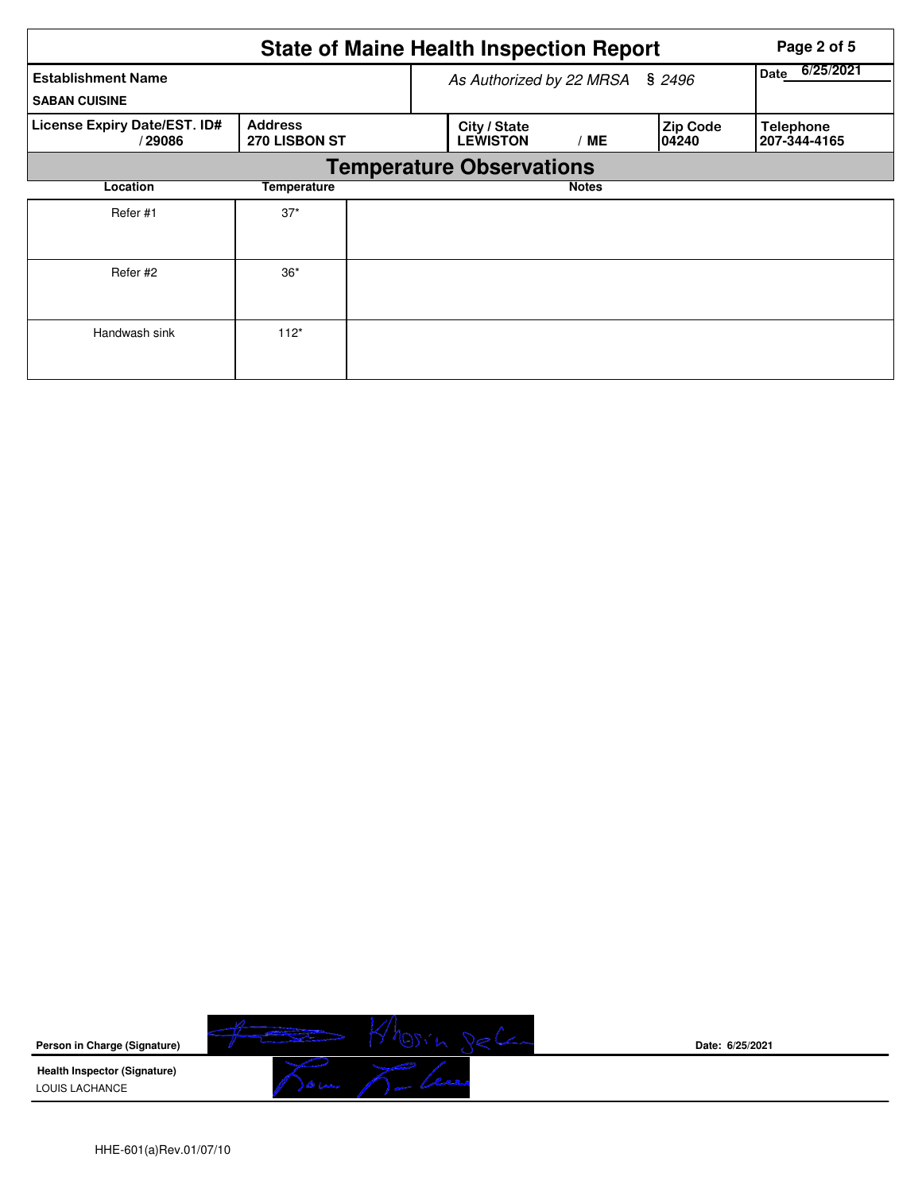|                                                   |                                        |  | <b>State of Maine Health Inspection Report</b> | Page 2 of 5  |                           |                                  |
|---------------------------------------------------|----------------------------------------|--|------------------------------------------------|--------------|---------------------------|----------------------------------|
| <b>Establishment Name</b><br><b>SABAN CUISINE</b> |                                        |  | \$2496<br>As Authorized by 22 MRSA             |              |                           | 6/25/2021<br>Date                |
| License Expiry Date/EST. ID#<br>/29086            | <b>Address</b><br><b>270 LISBON ST</b> |  | City / State<br><b>LEWISTON</b>                | / ME         | <b>Zip Code</b><br>104240 | <b>Telephone</b><br>207-344-4165 |
|                                                   |                                        |  | <b>Temperature Observations</b>                |              |                           |                                  |
| Location                                          | Temperature                            |  |                                                | <b>Notes</b> |                           |                                  |
| Refer #1                                          | $37*$                                  |  |                                                |              |                           |                                  |
| Refer #2                                          | $36*$                                  |  |                                                |              |                           |                                  |
| Handwash sink                                     | $112*$                                 |  |                                                |              |                           |                                  |



**Date: 6/25/2021**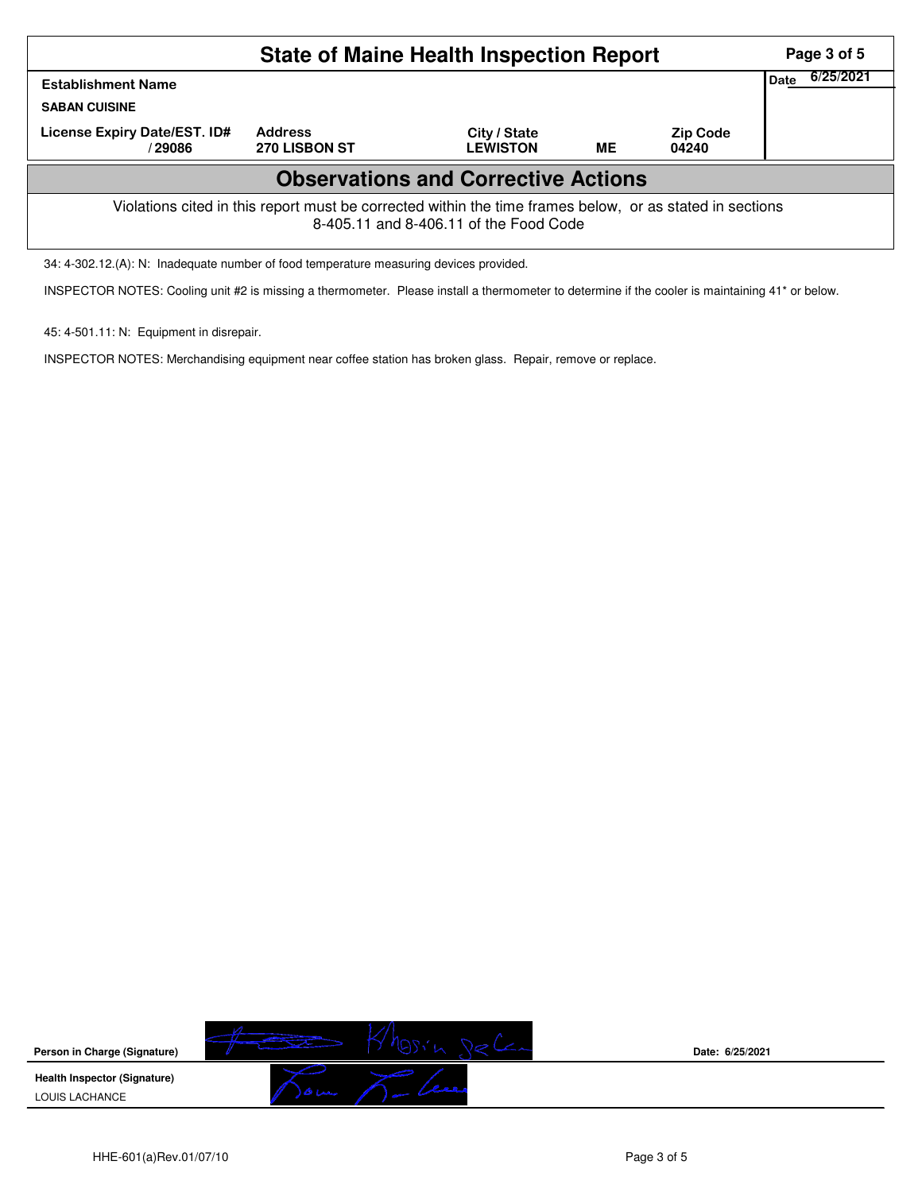| <b>State of Maine Health Inspection Report</b>                                                                                                     |                                 |                                 |           |                          |  |  |  |  |  |
|----------------------------------------------------------------------------------------------------------------------------------------------------|---------------------------------|---------------------------------|-----------|--------------------------|--|--|--|--|--|
| <b>Establishment Name</b><br><b>SABAN CUISINE</b>                                                                                                  | Date                            | 6/25/2021                       |           |                          |  |  |  |  |  |
| License Expiry Date/EST. ID#<br>/29086                                                                                                             | <b>Address</b><br>270 LISBON ST | City / State<br><b>LEWISTON</b> | <b>ME</b> | <b>Zip Code</b><br>04240 |  |  |  |  |  |
| <b>Observations and Corrective Actions</b>                                                                                                         |                                 |                                 |           |                          |  |  |  |  |  |
| Violations cited in this report must be corrected within the time frames below, or as stated in sections<br>8-405.11 and 8-406.11 of the Food Code |                                 |                                 |           |                          |  |  |  |  |  |

34: 4-302.12.(A): N: Inadequate number of food temperature measuring devices provided.

INSPECTOR NOTES: Cooling unit #2 is missing a thermometer. Please install a thermometer to determine if the cooler is maintaining 41\* or below.

45: 4-501.11: N: Equipment in disrepair.

INSPECTOR NOTES: Merchandising equipment near coffee station has broken glass. Repair, remove or replace.

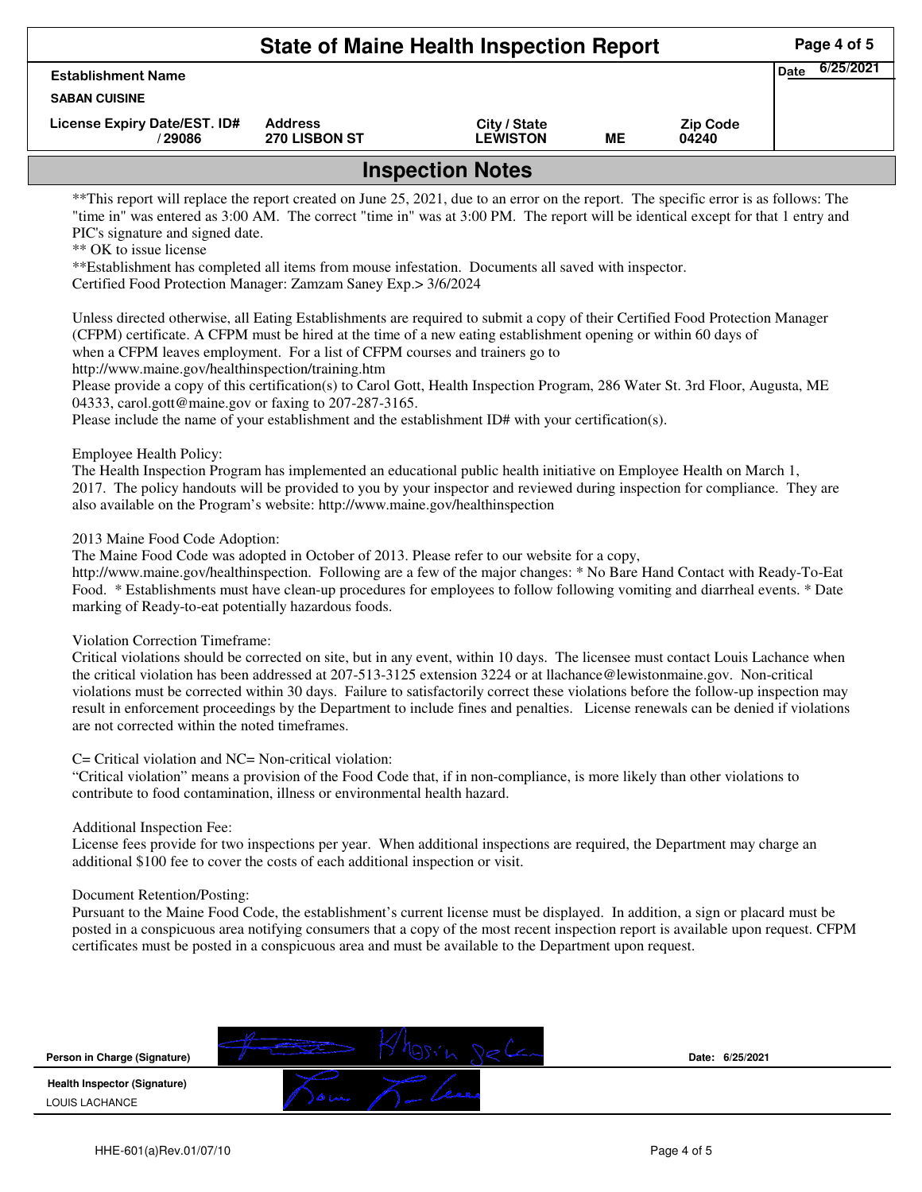|                                         | Page 4 of 5                            |                                 |    |                          |  |  |  |  |
|-----------------------------------------|----------------------------------------|---------------------------------|----|--------------------------|--|--|--|--|
| <b>Establishment Name</b>               | 6/25/2021<br><b>Date</b>               |                                 |    |                          |  |  |  |  |
| <b>SABAN CUISINE</b>                    |                                        |                                 |    |                          |  |  |  |  |
| License Expiry Date/EST. ID#<br>/ 29086 | <b>Address</b><br><b>270 LISBON ST</b> | City / State<br><b>LEWISTON</b> | ME | <b>Zip Code</b><br>04240 |  |  |  |  |
| <b>Inspection Notes</b>                 |                                        |                                 |    |                          |  |  |  |  |

\*\*This report will replace the report created on June 25, 2021, due to an error on the report. The specific error is as follows: The "time in" was entered as 3:00 AM. The correct "time in" was at 3:00 PM. The report will be identical except for that 1 entry and PIC's signature and signed date.

\*\* OK to issue license

\*\*Establishment has completed all items from mouse infestation. Documents all saved with inspector. Certified Food Protection Manager: Zamzam Saney Exp.> 3/6/2024

Unless directed otherwise, all Eating Establishments are required to submit a copy of their Certified Food Protection Manager (CFPM) certificate. A CFPM must be hired at the time of a new eating establishment opening or within 60 days of when a CFPM leaves employment. For a list of CFPM courses and trainers go to

http://www.maine.gov/healthinspection/training.htm

Please provide a copy of this certification(s) to Carol Gott, Health Inspection Program, 286 Water St. 3rd Floor, Augusta, ME 04333, carol.gott@maine.gov or faxing to 207-287-3165.

Please include the name of your establishment and the establishment ID# with your certification(s).

Employee Health Policy:

The Health Inspection Program has implemented an educational public health initiative on Employee Health on March 1, 2017. The policy handouts will be provided to you by your inspector and reviewed during inspection for compliance. They are also available on the Program's website: http://www.maine.gov/healthinspection

2013 Maine Food Code Adoption:

The Maine Food Code was adopted in October of 2013. Please refer to our website for a copy,

http://www.maine.gov/healthinspection. Following are a few of the major changes: \* No Bare Hand Contact with Ready-To-Eat Food. \* Establishments must have clean-up procedures for employees to follow following vomiting and diarrheal events. \* Date marking of Ready-to-eat potentially hazardous foods.

Violation Correction Timeframe:

Critical violations should be corrected on site, but in any event, within 10 days. The licensee must contact Louis Lachance when the critical violation has been addressed at 207-513-3125 extension 3224 or at llachance@lewistonmaine.gov. Non-critical violations must be corrected within 30 days. Failure to satisfactorily correct these violations before the follow-up inspection may result in enforcement proceedings by the Department to include fines and penalties. License renewals can be denied if violations are not corrected within the noted timeframes.

C= Critical violation and NC= Non-critical violation:

"Critical violation" means a provision of the Food Code that, if in non-compliance, is more likely than other violations to contribute to food contamination, illness or environmental health hazard.

Additional Inspection Fee:

License fees provide for two inspections per year. When additional inspections are required, the Department may charge an additional \$100 fee to cover the costs of each additional inspection or visit.

Document Retention/Posting:

Pursuant to the Maine Food Code, the establishment's current license must be displayed. In addition, a sign or placard must be posted in a conspicuous area notifying consumers that a copy of the most recent inspection report is available upon request. CFPM certificates must be posted in a conspicuous area and must be available to the Department upon request.